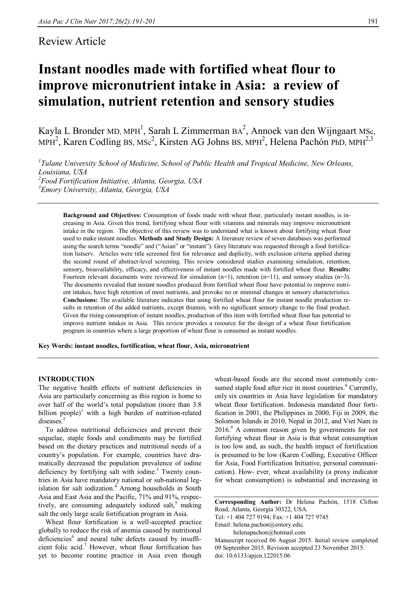# Review Article

# **Instant noodles made with fortified wheat flour to improve micronutrient intake in Asia: a review of simulation, nutrient retention and sensory studies**

Kayla L Bronder MD, MPH<sup>1</sup>, Sarah L Zimmerman BA<sup>2</sup>, Annoek van den Wijngaart MSc, MPH<sup>2</sup>, Karen Codling BS, MSc<sup>2</sup>, Kirsten AG Johns BS, MPH<sup>2</sup>, Helena Pachón PhD, MPH<sup>2,3</sup>

 *Tulane University School of Medicine, School of Public Health and Tropical Medicine, New Orleans, Louisiana, USA Food Fortification Initiative, Atlanta, Georgia, USA Emory University, Atlanta, Georgia, USA*

**Background and Objectives:** Consumption of foods made with wheat flour, particularly instant noodles, is increasing in Asia. Given this trend, fortifying wheat flour with vitamins and minerals may improve micronutrient intake in the region. The objective of this review was to understand what is known about fortifying wheat flour used to make instant noodles. **Methods and Study Design:** A literature review of seven databases was performed using the search terms "noodle" and ("Asian" or "instant"). Grey literature was requested through a food fortification listserv. Articles were title screened first for relevance and duplicity, with exclusion criteria applied during the second round of abstract-level screening. This review considered studies examining simulation, retention, sensory, bioavailability, efficacy, and effectiveness of instant noodles made with fortified wheat flour. **Results:**  Fourteen relevant documents were reviewed for simulation  $(n=1)$ , retention  $(n=1)$ , and sensory studies  $(n=3)$ . The documents revealed that instant noodles produced from fortified wheat flour have potential to improve nutrient intakes, have high retention of most nutrients, and provoke no or minimal changes in sensory characteristics. **Conclusions:** The available literature indicates that using fortified wheat flour for instant noodle production results in retention of the added nutrients, except thiamin, with no significant sensory change to the final product. Given the rising consumption of instant noodles, production of this item with fortified wheat flour has potential to improve nutrient intakes in Asia. This review provides a resource for the design of a wheat flour fortification program in countries where a large proportion of wheat flour is consumed as instant noodles.

**Key Words: instant noodles, fortification, wheat flour, Asia, micronutrient**

# **INTRODUCTION**

The negative health effects of nutrient deficiencies in Asia are particularly concerning as this region is home to over half of the world's total population (more than 3.8 billion people)<sup>1</sup> with a high burden of nutrition-related diseases.<sup>2</sup>

To address nutritional deficiencies and prevent their sequelae, staple foods and condiments may be fortified based on the dietary practices and nutritional needs of a country's population. For example, countries have dramatically decreased the population prevalence of iodine deficiency by fortifying salt with iodine. $3$  Twenty countries in Asia have mandatory national or sub-national legislation for salt iodization.<sup>4</sup> Among households in South Asia and East Asia and the Pacific, 71% and 91%, respectively, are consuming adequately iodized salt, $5$  making salt the only large scale fortification program in Asia.

Wheat flour fortification is a well-accepted practice globally to reduce the risk of anemia caused by nutritional deficiencies<sup>6</sup> and neural tube defects caused by insufficient folic acid.<sup>7</sup> However, wheat flour fortification has yet to become routine practice in Asia even though wheat-based foods are the second most commonly consumed staple food after rice in most countries.<sup>8</sup> Currently, only six countries in Asia have legislation for mandatory wheat flour fortification. Indonesia mandated flour fortification in 2001, the Philippines in 2000, Fiji in 2009, the Solomon Islands in 2010, Nepal in 2012, and Viet Nam in 2016.<sup>9</sup> A common reason given by governments for not fortifying wheat flour in Asia is that wheat consumption is too low and, as such, the health impact of fortification is presumed to be low (Karen Codling, Executive Officer for Asia, Food Fortification Initiative, personal communication). How- ever, wheat availability (a proxy indicator for wheat consumption) is substantial and increasing in

**Corresponding Author:** Dr Helena Pachón, 1518 Clifton Road, Atlanta, Georgia 30322, USA.

Tel: +1 404 727 9194; Fax: +1 404 727 9745

Email: helena.pachon@emory.edu;

helenapachon@hotmail.com

Manuscript received 06 August 2015. Initial review completed 09 September 2015. Revision accepted 23 November 2015. doi: 10.6133/apjcn.122015.06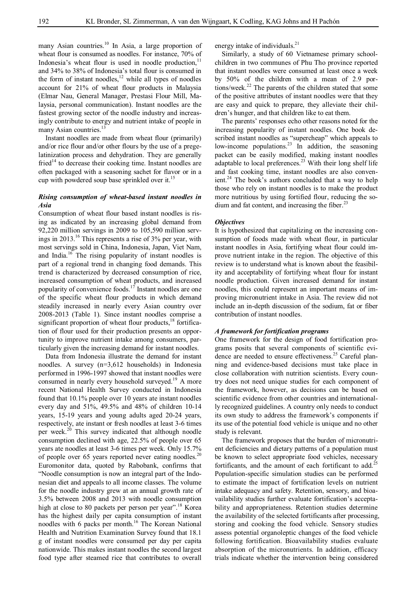many Asian countries.<sup>10</sup> In Asia, a large proportion of wheat flour is consumed as noodles. For instance, 70% of Indonesia's wheat flour is used in noodle production, $11$ and 34% to 38% of Indonesia's total flour is consumed in the form of instant noodles, $12$  while all types of noodles account for 21% of wheat flour products in Malaysia (Elmar Nau, General Manager, Prestasi Flour Mill, Malaysia, personal communication). Instant noodles are the fastest growing sector of the noodle industry and increasingly contribute to energy and nutrient intake of people in many Asian countries.<sup>1</sup>

Instant noodles are made from wheat flour (primarily) and/or rice flour and/or other flours by the use of a pregelatinization process and dehydration. They are generally fried<sup>14</sup> to decrease their cooking time. Instant noodles are often packaged with a seasoning sachet for flavor or in a cup with powdered soup base sprinkled over it.<sup>15</sup>

# *Rising consumption of wheat-based instant noodles in Asia*

Consumption of wheat flour based instant noodles is rising as indicated by an increasing global demand from 92,220 million servings in 2009 to 105,590 million servings in 2013.<sup>16</sup> This represents a rise of 3% per year, with most servings sold in China, Indonesia, Japan, Viet Nam, and India.<sup>16</sup> The rising popularity of instant noodles is part of a regional trend in changing food demands. This trend is characterized by decreased consumption of rice, increased consumption of wheat products, and increased popularity of convenience foods.<sup>17</sup> Instant noodles are one of the specific wheat flour products in which demand steadily increased in nearly every Asian country over 2008-2013 (Table 1). Since instant noodles comprise a significant proportion of wheat flour products, $18$  fortification of flour used for their production presents an opportunity to improve nutrient intake among consumers, particularly given the increasing demand for instant noodles.

Data from Indonesia illustrate the demand for instant noodles. A survey (n=3,612 households) in Indonesia performed in 1996-1997 showed that instant noodles were consumed in nearly every household surveyed.<sup>19</sup> A more recent National Health Survey conducted in Indonesia found that 10.1% people over 10 years ate instant noodles every day and 51%, 49.5% and 48% of children 10-14 years, 15-19 years and young adults aged 20-24 years, respectively, ate instant or fresh noodles at least 3-6 times per week.<sup>20</sup> This survey indicated that although noodle consumption declined with age, 22.5% of people over 65 years ate noodles at least 3-6 times per week. Only 15.7% of people over 65 years reported never eating noodles.<sup>20</sup> Euromonitor data, quoted by Rabobank, confirms that "Noodle consumption is now an integral part of the Indonesian diet and appeals to all income classes. The volume for the noodle industry grew at an annual growth rate of 3.5% between 2008 and 2013 with noodle consumption high at close to 80 packets per person per year".<sup>18</sup> Korea has the highest daily per capita consumption of instant noodles with 6 packs per month.<sup>16</sup> The Korean National Health and Nutrition Examination Survey found that 18.1 g of instant noodles were consumed per day per capita nationwide. This makes instant noodles the second largest food type after steamed rice that contributes to overall

energy intake of individuals.<sup>21</sup>

Similarly, a study of 60 Vietnamese primary schoolchildren in two communes of Phu Tho province reported that instant noodles were consumed at least once a week by 50% of the children with a mean of 2.9 portions/week.<sup>22</sup> The parents of the children stated that some of the positive attributes of instant noodles were that they are easy and quick to prepare, they alleviate their children's hunger, and that children like to eat them.

The parents' responses echo other reasons noted for the increasing popularity of instant noodles. One book described instant noodles as "supercheap" which appeals to low-income populations.<sup>23</sup> In addition, the seasoning packet can be easily modified, making instant noodles adaptable to local preferences. $23$  With their long shelf life and fast cooking time, instant noodles are also convenient.<sup>24</sup> The book's authors concluded that a way to help those who rely on instant noodles is to make the product more nutritious by using fortified flour, reducing the sodium and fat content, and increasing the fiber.<sup>23</sup>

# *Objectives*

It is hypothesized that capitalizing on the increasing consumption of foods made with wheat flour, in particular instant noodles in Asia, fortifying wheat flour could improve nutrient intake in the region. The objective of this review is to understand what is known about the feasibility and acceptability of fortifying wheat flour for instant noodle production. Given increased demand for instant noodles, this could represent an important means of improving micronutrient intake in Asia. The review did not include an in-depth discussion of the sodium, fat or fiber contribution of instant noodles.

#### *A framework for fortification programs*

One framework for the design of food fortification programs posits that several components of scientific evidence are needed to ensure effectiveness.<sup>25</sup> Careful planning and evidence-based decisions must take place in close collaboration with nutrition scientists. Every country does not need unique studies for each component of the framework, however, as decisions can be based on scientific evidence from other countries and internationally recognized guidelines. A country only needs to conduct its own study to address the framework's components if its use of the potential food vehicle is unique and no other study is relevant.

The framework proposes that the burden of micronutrient deficiencies and dietary patterns of a population must be known to select appropriate food vehicles, necessary fortificants, and the amount of each fortificant to add.<sup>25</sup> Population-specific simulation studies can be performed to estimate the impact of fortification levels on nutrient intake adequacy and safety. Retention, sensory, and bioavailability studies further evaluate fortification's acceptability and appropriateness. Retention studies determine the availability of the selected fortificants after processing, storing and cooking the food vehicle. Sensory studies assess potential organoleptic changes of the food vehicle following fortification. Bioavailability studies evaluate absorption of the micronutrients. In addition, efficacy trials indicate whether the intervention being considered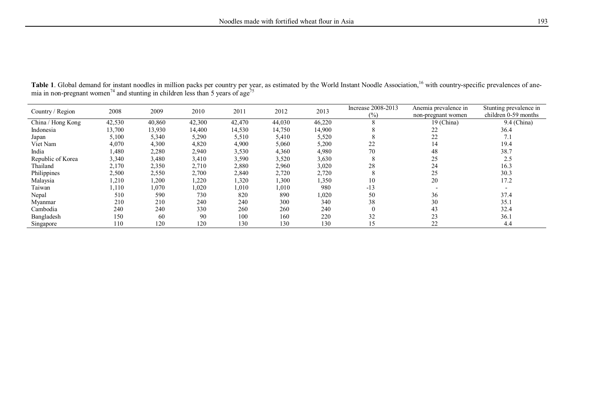| Country / Region  | 2008   | 2009   | 2010   | 2011   | 2012   | 2013   | Increase 2008-2013<br>(%) | Anemia prevalence in<br>non-pregnant women | Stunting prevalence in<br>children 0-59 months |
|-------------------|--------|--------|--------|--------|--------|--------|---------------------------|--------------------------------------------|------------------------------------------------|
| China / Hong Kong | 42,530 | 40,860 | 42,300 | 42,470 | 44,030 | 46,220 | $\Delta$                  | 19 (China)                                 | 9.4 (China)                                    |
| Indonesia         | 13,700 | 13,930 | 14,400 | 14,530 | 14,750 | 14,900 |                           | 22                                         | 36.4                                           |
| Japan             | 5,100  | 5,340  | 5,290  | 5,510  | 5,410  | 5,520  |                           | 22                                         | 7.1                                            |
| Viet Nam          | 4,070  | 4,300  | 4,820  | 4,900  | 5,060  | 5,200  | 22                        | 14                                         | 19.4                                           |
| India             | 1,480  | 2,280  | 2,940  | 3,530  | 4,360  | 4,980  | 70                        | 48                                         | 38.7                                           |
| Republic of Korea | 3,340  | 3,480  | 3,410  | 3,590  | 3,520  | 3,630  |                           | 25                                         | 2.5                                            |
| Thailand          | 2,170  | 2,350  | 2,710  | 2,880  | 2,960  | 3,020  | 28                        | 24                                         | 16.3                                           |
| Philippines       | 2,500  | 2,550  | 2,700  | 2,840  | 2,720  | 2,720  |                           | 25                                         | 30.3                                           |
| Malaysia          | 1,210  | 1,200  | 1,220  | 1,320  | 1,300  | 1,350  | 10                        | 20                                         | 17.2                                           |
| Taiwan            | 1,110  | 1,070  | 1,020  | 1,010  | 1,010  | 980    | $-13$                     |                                            |                                                |
| Nepal             | 510    | 590    | 730    | 820    | 890    | 1,020  | 50                        | 36                                         | 37.4                                           |
| Myanmar           | 210    | 210    | 240    | 240    | 300    | 340    | 38                        | 30                                         | 35.1                                           |
| Cambodia          | 240    | 240    | 330    | 260    | 260    | 240    | $\theta$                  | 43                                         | 32.4                                           |
| Bangladesh        | 150    | 60     | 90     | 100    | 160    | 220    | 32                        | 23                                         | 36.1                                           |
| Singapore         | 110    | 120    | 120    | 130    | 130    | 130    | 15                        | 22                                         | 4.4                                            |

Table 1. Global demand for instant noodles in million packs per country per year, as estimated by the World Instant Noodle Association,<sup>16</sup> with country-specific prevalences of anemia in non-pregnant women<sup>74</sup> and stunting in children less than 5 years of age<sup>75</sup>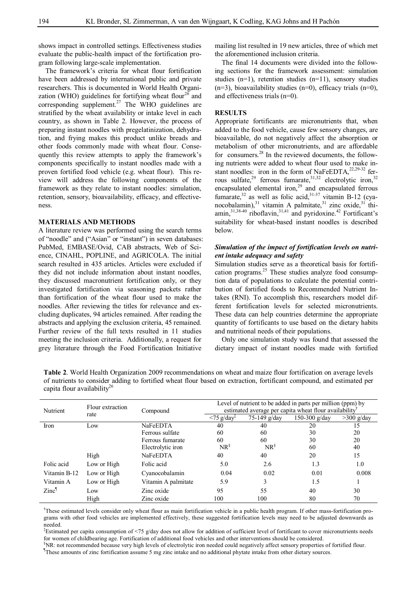shows impact in controlled settings. Effectiveness studies evaluate the public-health impact of the fortification program following large-scale implementation.

The framework's criteria for wheat flour fortification have been addressed by international public and private researchers. This is documented in World Health Organization (WHO) guidelines for fortifying wheat flour<sup>26</sup> and corresponding supplement.<sup>27</sup> The WHO guidelines are stratified by the wheat availability or intake level in each country, as shown in Table 2. However, the process of preparing instant noodles with pregelatinization, dehydration, and frying makes this product unlike breads and other foods commonly made with wheat flour. Consequently this review attempts to apply the framework's components specifically to instant noodles made with a proven fortified food vehicle (e.g. wheat flour). This review will address the following components of the framework as they relate to instant noodles: simulation, retention, sensory, bioavailability, efficacy, and effectiveness.

#### **MATERIALS AND METHODS**

A literature review was performed using the search terms of "noodle" and ("Asian" or "instant") in seven databases: PubMed, EMBASE/Ovid, CAB abstracts, Web of Science, CINAHL, POPLINE, and AGRICOLA. The initial search resulted in 435 articles. Articles were excluded if they did not include information about instant noodles, they discussed macronutrient fortification only, or they investigated fortification via seasoning packets rather than fortification of the wheat flour used to make the noodles. After reviewing the titles for relevance and excluding duplicates, 94 articles remained. After reading the abstracts and applying the exclusion criteria, 45 remained. Further review of the full texts resulted in 11 studies meeting the inclusion criteria. Additionally, a request for grey literature through the Food Fortification Initiative mailing list resulted in 19 new articles, three of which met the aforementioned inclusion criteria.

The final 14 documents were divided into the following sections for the framework assessment: simulation studies (n=1), retention studies (n=11), sensory studies  $(n=3)$ , bioavailability studies  $(n=0)$ , efficacy trials  $(n=0)$ , and effectiveness trials (n=0).

#### **RESULTS**

Appropriate fortificants are micronutrients that, when added to the food vehicle, cause few sensory changes, are bioavailable, do not negatively affect the absorption or metabolism of other micronutrients, and are affordable for consumers. $^{28}$  In the reviewed documents, the following nutrients were added to wheat flour used to make instant noodles: iron in the form of NaFeEDTA, $^{22,29-32}$  ferrous sulfate, $^{29}$  ferrous fumarate, $^{31,32}$  electrolytic iron,  $^{32}$ encapsulated elemental iron,<sup>29</sup> and encapsulated ferrous fumarate,<sup>32</sup> as well as folic acid,<sup>31-37</sup> vitamin B-12 (cyanocobalamin), $31$  vitamin A palmitate, $31$  zinc oxide, $31$  thiamin, $31,38-40$  riboflavin, $31,41$  and pyridoxine.<sup>42</sup> Fortificant's suitability for wheat-based instant noodles is described below.

# *Simulation of the impact of fortification levels on nutrient intake adequacy and safety*

Simulation studies serve as a theoretical basis for fortification programs.<sup>25</sup> These studies analyze food consumption data of populations to calculate the potential contribution of fortified foods to Recommended Nutrient Intakes (RNI). To accomplish this, researchers model different fortification levels for selected micronutrients. These data can help countries determine the appropriate quantity of fortificants to use based on the dietary habits and nutritional needs of their populations.

Only one simulation study was found that assessed the dietary impact of instant noodles made with fortified

| <b>Table 2.</b> World Health Organization 2009 recommendations on wheat and maize flour fortification on average levels |
|-------------------------------------------------------------------------------------------------------------------------|
| of nutrients to consider adding to fortified wheat flour based on extraction, fortificant compound, and estimated per   |
| capita flour availability <sup>26</sup>                                                                                 |
|                                                                                                                         |

| Nutrient          | Flour extraction | Compound            | Level of nutrient to be added in parts per million (ppm) by<br>estimated average per capita wheat flour availability |                    |               |              |  |
|-------------------|------------------|---------------------|----------------------------------------------------------------------------------------------------------------------|--------------------|---------------|--------------|--|
|                   | rate             |                     | $\langle 75 \text{ g}/\text{day}^{\ddagger} \rangle$                                                                 | 75-149 g/day       | 150-300 g/day | $>300$ g/day |  |
| Iron              | Low              | NaFeEDTA            | 40                                                                                                                   | 40                 | 20            | 15           |  |
|                   |                  | Ferrous sulfate     | 60                                                                                                                   | 60                 | 30            | 20           |  |
|                   |                  | Ferrous fumarate    | 60                                                                                                                   | 60                 | 30            | 20           |  |
|                   |                  | Electrolytic iron   | $NR^{\frac{8}{3}}$                                                                                                   | $NR^{\frac{8}{3}}$ | 60            | 40           |  |
|                   | High             | NaFeEDTA            | 40                                                                                                                   | 40                 | 20            | 15           |  |
| Folic acid        | Low or High      | Folic acid          | 5.0                                                                                                                  | 2.6                | 1.3           | 1.0          |  |
| Vitamin B-12      | Low or High      | Cyanocobalamin      | 0.04                                                                                                                 | 0.02               | 0.01          | 0.008        |  |
| Vitamin A         | Low or High      | Vitamin A palmitate | 5.9                                                                                                                  | 3                  | 1.5           |              |  |
| Zinc <sup>1</sup> | Low              | Zinc oxide          | 95                                                                                                                   | 55                 | 40            | 30           |  |
|                   | High             | Zinc oxide          | 100                                                                                                                  | 100                | 80            | 70           |  |

† These estimated levels consider only wheat flour as main fortification vehicle in a public health program. If other mass-fortification programs with other food vehicles are implemented effectively, these suggested fortification levels may need to be adjusted downwards as needed.

‡ Estimated per capita consumption of <75 g/day does not allow for addition of sufficient level of fortificant to cover micronutrients needs for women of childbearing age. Fortification of additional food vehicles and other interventions should be considered.

§NR: not recommended because very high levels of electrolytic iron needed could negatively affect sensory properties of fortified flour.

¶ These amounts of zinc fortification assume 5 mg zinc intake and no additional phytate intake from other dietary sources.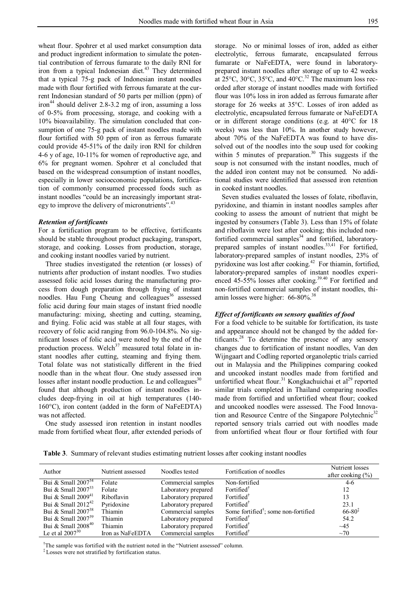wheat flour. Spohrer et al used market consumption data and product ingredient information to simulate the potential contribution of ferrous fumarate to the daily RNI for iron from a typical Indonesian diet.<sup>43</sup> They determined that a typical 75-g pack of Indonesian instant noodles made with flour fortified with ferrous fumarate at the current Indonesian standard of 50 parts per million (ppm) of iron<sup>44</sup> should deliver 2.8-3.2 mg of iron, assuming a loss of 0-5% from processing, storage, and cooking with a 10% bioavailability. The simulation concluded that consumption of one 75-g pack of instant noodles made with flour fortified with 50 ppm of iron as ferrous fumarate could provide 45-51% of the daily iron RNI for children 4-6 y of age, 10-11% for women of reproductive age, and 6% for pregnant women. Spohrer et al concluded that based on the widespread consumption of instant noodles, especially in lower socioeconomic populations, fortification of commonly consumed processed foods such as instant noodles "could be an increasingly important strategy to improve the delivery of micronutrients".<sup>43</sup>

#### *Retention of fortificants*

For a fortification program to be effective, fortificants should be stable throughout product packaging, transport, storage, and cooking. Losses from production, storage, and cooking instant noodles varied by nutrient.

Three studies investigated the retention (or losses) of nutrients after production of instant noodles. Two studies assessed folic acid losses during the manufacturing process from dough preparation through frying of instant noodles. Hau Fung Cheung and colleagues<sup>36</sup> assessed folic acid during four main stages of instant fried noodle manufacturing: mixing, sheeting and cutting, steaming, and frying. Folic acid was stable at all four stages, with recovery of folic acid ranging from 96.0-104.8%. No significant losses of folic acid were noted by the end of the production process. Welch $37$  measured total folate in instant noodles after cutting, steaming and frying them. Total folate was not statistically different in the fried noodle than in the wheat flour. One study assessed iron losses after instant noodle production. Le and colleagues $30$ found that although production of instant noodles includes deep-frying in oil at high temperatures (140- 160°C), iron content (added in the form of NaFeEDTA) was not affected.

One study assessed iron retention in instant noodles made from fortified wheat flour, after extended periods of storage. No or minimal losses of iron, added as either electrolytic, ferrous fumarate, encapsulated ferrous fumarate or NaFeEDTA, were found in laboratoryprepared instant noodles after storage of up to 42 weeks at  $25^{\circ}$ C,  $30^{\circ}$ C,  $35^{\circ}$ C, and  $40^{\circ}$ C.<sup>32</sup> The maximum loss recorded after storage of instant noodles made with fortified flour was 10% loss in iron added as ferrous fumarate after storage for 26 weeks at 35°C. Losses of iron added as electrolytic, encapsulated ferrous fumarate or NaFeEDTA or in different storage conditions (e.g. at 40°C for 18 weeks) was less than 10%. In another study however, about 70% of the NaFeEDTA was found to have dissolved out of the noodles into the soup used for cooking within 5 minutes of preparation.<sup>30</sup> This suggests if the soup is not consumed with the instant noodles, much of the added iron content may not be consumed. No additional studies were identified that assessed iron retention in cooked instant noodles.

Seven studies evaluated the losses of folate, riboflavin, pyridoxine, and thiamin in instant noodles samples after cooking to assess the amount of nutrient that might be ingested by consumers (Table 3). Less than 15% of folate and riboflavin were lost after cooking; this included nonfortified commercial samples<sup>34</sup> and fortified, laboratoryprepared samples of instant noodles.<sup>33,41</sup> For fortified, laboratory-prepared samples of instant noodles, 23% of pyridoxine was lost after cooking.<sup>42</sup> For thiamin, fortified, laboratory-prepared samples of instant noodles experienced 45-55% losses after cooking.<sup>39.40</sup> For fortified and non-fortified commercial samples of instant noodles, thiamin losses were higher: 66-80%.<sup>38</sup>

# *Effect of fortificants on sensory qualities of food*

For a food vehicle to be suitable for fortification, its taste and appearance should not be changed by the added fortificants. $28$  To determine the presence of any sensory changes due to fortification of instant noodles, Van den Wijngaart and Codling reported organoleptic trials carried out in Malaysia and the Philippines comparing cooked and uncooked instant noodles made from fortified and unfortified wheat flour.<sup>31</sup> Kongkachuichai et al<sup>29</sup> reported similar trials completed in Thailand comparing noodles made from fortified and unfortified wheat flour; cooked and uncooked noodles were assessed. The Food Innovation and Resource Centre of the Singapore Polytechnic<sup>32</sup> reported sensory trials carried out with noodles made from unfortified wheat flour or flour fortified with four

**Table 3**. Summary of relevant studies estimating nutrient losses after cooking instant noodles

| Author                  | Nutrient assessed | Noodles tested      | Fortification of noodles                         | Nutrient losses<br>after cooking $(\% )$   |
|-------------------------|-------------------|---------------------|--------------------------------------------------|--------------------------------------------|
| Bui & Small $2007^{34}$ | Folate            | Commercial samples  | Non-fortified                                    | $4-6$                                      |
| Bui & Small $2007^{33}$ | Folate            | Laboratory prepared | Fortified                                        | 12                                         |
| Bui & Small $2009^{41}$ | Riboflavin        | Laboratory prepared | Fortified                                        | 13                                         |
| Bui & Small $2012^{42}$ | Pyridoxine        | Laboratory prepared | Fortified                                        | 23.1                                       |
| Bui & Small $2007^{38}$ | Thiamin           | Commercial samples  | Some fortified <sup>†</sup> ; some non-fortified | $66 - 80$ <sup><math>\ddagger</math></sup> |
| Bui & Small $2007^{39}$ | Thiamin           | Laboratory prepared | Fortified                                        | 54.2                                       |
| Bui & Small $2008^{40}$ | Thiamin           | Laboratory prepared | Fortified                                        | $\sim$ 45                                  |
| Le et al $2007^{30}$    | Iron as NaFeEDTA  | Commercial samples  | Fortified                                        | $\sim$ 70                                  |

<sup>†</sup>The sample was fortified with the nutrient noted in the "Nutrient assessed" column.

‡ Losses were not stratified by fortification status.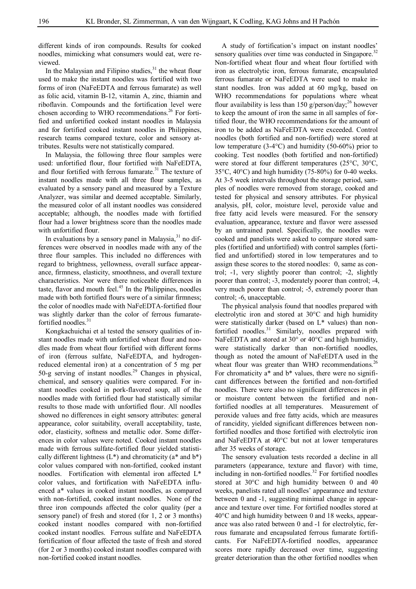different kinds of iron compounds. Results for cooked noodles, mimicking what consumers would eat, were reviewed.

In the Malaysian and Filipino studies, $31$  the wheat flour used to make the instant noodles was fortified with two forms of iron (NaFeEDTA and ferrous fumarate) as well as folic acid, vitamin B-12, vitamin A, zinc, thiamin and riboflavin. Compounds and the fortification level were chosen according to WHO recommendations.<sup>26</sup> For fortified and unfortified cooked instant noodles in Malaysia and for fortified cooked instant noodles in Philippines, research teams compared texture, color and sensory attributes. Results were not statistically compared.

In Malaysia, the following three flour samples were used: unfortified flour, flour fortified with NaFeEDTA, and flour fortified with ferrous fumarate.<sup>31</sup> The texture of instant noodles made with all three flour samples, as evaluated by a sensory panel and measured by a Texture Analyzer, was similar and deemed acceptable. Similarly, the measured color of all instant noodles was considered acceptable; although, the noodles made with fortified flour had a lower brightness score than the noodles made with unfortified flour.

In evaluations by a sensory panel in Malaysia, $31$  no differences were observed in noodles made with any of the three flour samples. This included no differences with regard to brightness, yellowness, overall surface appearance, firmness, elasticity, smoothness, and overall texture characteristics. Nor were there noticeable differences in taste, flavor and mouth feel. $45$  In the Philippines, noodles made with both fortified flours were of a similar firmness; the color of noodles made with NaFeEDTA-fortified flour was slightly darker than the color of ferrous fumaratefortified noodles.<sup>31</sup>

Kongkachuichai et al tested the sensory qualities of instant noodles made with unfortified wheat flour and noodles made from wheat flour fortified with different forms of iron (ferrous sulfate, NaFeEDTA, and hydrogenreduced elemental iron) at a concentration of 5 mg per 50-g serving of instant noodles. <sup>29</sup> Changes in physical, chemical, and sensory qualities were compared. For instant noodles cooked in pork-flavored soup, all of the noodles made with fortified flour had statistically similar results to those made with unfortified flour. All noodles showed no differences in eight sensory attributes: general appearance, color suitability, overall acceptability, taste, odor, elasticity, softness and metallic odor. Some differences in color values were noted. Cooked instant noodles made with ferrous sulfate-fortified flour yielded statistically different lightness  $(L^*)$  and chromaticity ( $a^*$  and  $b^*$ ) color values compared with non-fortified, cooked instant noodles. Fortification with elemental iron affected L\* color values, and fortification with NaFeEDTA influenced a\* values in cooked instant noodles, as compared with non-fortified, cooked instant noodles. None of the three iron compounds affected the color quality (per a sensory panel) of fresh and stored (for 1, 2 or 3 months) cooked instant noodles compared with non-fortified cooked instant noodles. Ferrous sulfate and NaFeEDTA fortification of flour affected the taste of fresh and stored (for 2 or 3 months) cooked instant noodles compared with non-fortified cooked instant noodles.

A study of fortification's impact on instant noodles' sensory qualities over time was conducted in Singapore.<sup>32</sup> Non-fortified wheat flour and wheat flour fortified with iron as electrolytic iron, ferrous fumarate, encapsulated ferrous fumarate or NaFeEDTA were used to make instant noodles. Iron was added at 60 mg/kg, based on WHO recommendations for populations where wheat flour availability is less than 150 g/person/day;<sup>26</sup> however to keep the amount of iron the same in all samples of fortified flour, the WHO recommendations for the amount of iron to be added as NaFeEDTA were exceeded. Control noodles (both fortified and non-fortified) were stored at low temperature (3-4°C) and humidity (50-60%) prior to cooking. Test noodles (both fortified and non-fortified) were stored at four different temperatures (25°C, 30°C, 35°C, 40°C) and high humidity (75-80%) for 0-40 weeks. At 3-5 week intervals throughout the storage period, samples of noodles were removed from storage, cooked and tested for physical and sensory attributes. For physical analysis, pH, color, moisture level, peroxide value and free fatty acid levels were measured. For the sensory evaluation, appearance, texture and flavor were assessed by an untrained panel. Specifically, the noodles were cooked and panelists were asked to compare stored samples (fortified and unfortified) with control samples (fortified and unfortified) stored in low temperatures and to assign these scores to the stored noodles: 0, same as control; -1, very slightly poorer than control; -2, slightly poorer than control; -3, moderately poorer than control; -4, very much poorer than control; -5, extremely poorer than control; -6, unacceptable.

The physical analysis found that noodles prepared with electrolytic iron and stored at 30°C and high humidity were statistically darker (based on L\* values) than nonfortified noodles. $31$  Similarly, noodles prepared with NaFeEDTA and stored at 30° or 40°C and high humidity, were statistically darker than non-fortified noodles, though as noted the amount of NaFeEDTA used in the wheat flour was greater than WHO recommendations. $^{26}$ For chromaticity  $a^*$  and  $b^*$  values, there were no significant differences between the fortified and non-fortified noodles. There were also no significant differences in pH or moisture content between the fortified and nonfortified noodles at all temperatures. Measurement of peroxide values and free fatty acids, which are measures of rancidity, yielded significant differences between nonfortified noodles and those fortified with electrolytic iron and NaFeEDTA at 40°C but not at lower temperatures after 35 weeks of storage.

The sensory evaluation tests recorded a decline in all parameters (appearance, texture and flavor) with time, including in non-fortified noodles. $32$  For fortified noodles stored at 30°C and high humidity between 0 and 40 weeks, panelists rated all noodles' appearance and texture between 0 and -1, suggesting minimal change in appearance and texture over time. For fortified noodles stored at 40°C and high humidity between 0 and 18 weeks, appearance was also rated between 0 and -1 for electrolytic, ferrous fumarate and encapsulated ferrous fumarate fortificants. For NaFeEDTA-fortified noodles, appearance scores more rapidly decreased over time, suggesting greater deterioration than the other fortified noodles when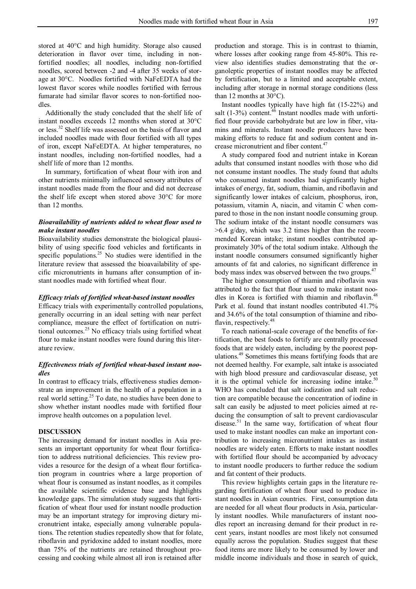stored at 40°C and high humidity. Storage also caused deterioration in flavor over time, including in nonfortified noodles; all noodles, including non-fortified noodles, scored between -2 and -4 after 35 weeks of storage at 30°C. Noodles fortified with NaFeEDTA had the lowest flavor scores while noodles fortified with ferrous fumarate had similar flavor scores to non-fortified noodles.

Additionally the study concluded that the shelf life of instant noodles exceeds 12 months when stored at 30°C or less.<sup>32</sup> Shelf life was assessed on the basis of flavor and included noodles made with flour fortified with all types of iron, except NaFeEDTA. At higher temperatures, no instant noodles, including non-fortified noodles, had a shelf life of more than 12 months.

In summary, fortification of wheat flour with iron and other nutrients minimally influenced sensory attributes of instant noodles made from the flour and did not decrease the shelf life except when stored above 30°C for more than 12 months.

# *Bioavailability of nutrients added to wheat flour used to make instant noodles*

Bioavailability studies demonstrate the biological plausibility of using specific food vehicles and fortificants in specific populations.<sup>25</sup> No studies were identified in the literature review that assessed the bioavailability of specific micronutrients in humans after consumption of instant noodles made with fortified wheat flour.

#### *Efficacy trials of fortified wheat-based instant noodles*

Efficacy trials with experimentally controlled populations, generally occurring in an ideal setting with near perfect compliance, measure the effect of fortification on nutritional outcomes. $^{25}$  No efficacy trials using fortified wheat flour to make instant noodles were found during this literature review.

# *Effectiveness trials of fortified wheat-based instant noodles*

In contrast to efficacy trials, effectiveness studies demonstrate an improvement in the health of a population in a real world setting.<sup>25</sup> To date, no studies have been done to show whether instant noodles made with fortified flour improve health outcomes on a population level.

# **DISCUSSION**

The increasing demand for instant noodles in Asia presents an important opportunity for wheat flour fortification to address nutritional deficiencies. This review provides a resource for the design of a wheat flour fortification program in countries where a large proportion of wheat flour is consumed as instant noodles, as it compiles the available scientific evidence base and highlights knowledge gaps. The simulation study suggests that fortification of wheat flour used for instant noodle production may be an important strategy for improving dietary micronutrient intake, especially among vulnerable populations. The retention studies repeatedly show that for folate, riboflavin and pyridoxine added to instant noodles, more than 75% of the nutrients are retained throughout processing and cooking while almost all iron is retained after

production and storage. This is in contrast to thiamin, where losses after cooking range from 45-80%. This review also identifies studies demonstrating that the organoleptic properties of instant noodles may be affected by fortification, but to a limited and acceptable extent, including after storage in normal storage conditions (less than 12 months at 30°C).

Instant noodles typically have high fat (15-22%) and salt (1-3%) content. $46$  Instant noodles made with unfortified flour provide carbohydrate but are low in fiber, vitamins and minerals. Instant noodle producers have been making efforts to reduce fat and sodium content and increase micronutrient and fiber content.<sup>47</sup>

A study compared food and nutrient intake in Korean adults that consumed instant noodles with those who did not consume instant noodles. The study found that adults who consumed instant noodles had significantly higher intakes of energy, fat, sodium, thiamin, and riboflavin and significantly lower intakes of calcium, phosphorus, iron, potassium, vitamin A, niacin, and vitamin C when compared to those in the non instant noodle consuming group. The sodium intake of the instant noodle consumers was >6.4 g/day, which was 3.2 times higher than the recommended Korean intake; instant noodles contributed approximately 30% of the total sodium intake. Although the instant noodle consumers consumed significantly higher amounts of fat and calories, no significant difference in body mass index was observed between the two groups. $47$ 

The higher consumption of thiamin and riboflavin was attributed to the fact that flour used to make instant noodles in Korea is fortified with thiamin and riboflavin.<sup>48</sup> Park et al. found that instant noodles contributed 41.7% and 34.6% of the total consumption of thiamine and riboflavin, respectively.<sup>48</sup>

To reach national-scale coverage of the benefits of fortification, the best foods to fortify are centrally processed foods that are widely eaten, including by the poorest populations.<sup>49</sup> Sometimes this means fortifying foods that are not deemed healthy. For example, salt intake is associated with high blood pressure and cardiovascular disease, yet it is the optimal vehicle for increasing iodine intake. $50$ WHO has concluded that salt iodization and salt reduction are compatible because the concentration of iodine in salt can easily be adjusted to meet policies aimed at reducing the consumption of salt to prevent cardiovascular disease.<sup>51</sup> In the same way, fortification of wheat flour used to make instant noodles can make an important contribution to increasing micronutrient intakes as instant noodles are widely eaten. Efforts to make instant noodles with fortified flour should be accompanied by advocacy to instant noodle producers to further reduce the sodium and fat content of their products.

This review highlights certain gaps in the literature regarding fortification of wheat flour used to produce instant noodles in Asian countries. First, consumption data are needed for all wheat flour products in Asia, particularly instant noodles. While manufacturers of instant noodles report an increasing demand for their product in recent years, instant noodles are most likely not consumed equally across the population. Studies suggest that these food items are more likely to be consumed by lower and middle income individuals and those in search of quick,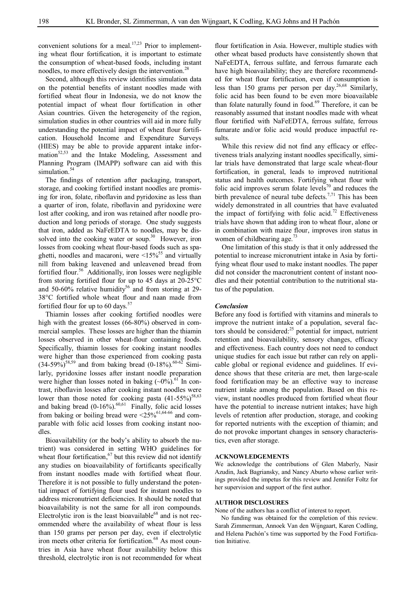convenient solutions for a meal.<sup>17,23</sup> Prior to implementing wheat flour fortification, it is important to estimate the consumption of wheat-based foods, including instant noodles, to more effectively design the intervention.<sup>28</sup>

Second, although this review identifies simulation data on the potential benefits of instant noodles made with fortified wheat flour in Indonesia, we do not know the potential impact of wheat flour fortification in other Asian countries. Given the heterogeneity of the region, simulation studies in other countries will aid in more fully understanding the potential impact of wheat flour fortification. Household Income and Expenditure Surveys (HIES) may be able to provide apparent intake information $52,53$  and the Intake Modeling, Assessment and Planning Program (IMAPP) software can aid with this simulation.<sup>54</sup>

The findings of retention after packaging, transport, storage, and cooking fortified instant noodles are promising for iron, folate, riboflavin and pyridoxine as less than a quarter of iron, folate, riboflavin and pyridoxine were lost after cooking, and iron was retained after noodle production and long periods of storage. One study suggests that iron, added as NaFeEDTA to noodles, may be dissolved into the cooking water or soup.<sup>30</sup> However, iron losses from cooking wheat flour-based foods such as spaghetti, noodles and macaroni, were  $\leq 15\%$ <sup>55</sup> and virtually nill from baking leavened and unleavened bread from fortified flour.<sup>56</sup> Additionally, iron losses were negligible from storing fortified flour for up to 45 days at 20-25°C and 50-60% relative humidity<sup>56</sup> and from storing at 29-38°C fortified whole wheat flour and naan made from fortified flour for up to 60 days. $57$ 

Thiamin losses after cooking fortified noodles were high with the greatest losses (66-80%) observed in commercial samples. These losses are higher than the thiamin losses observed in other wheat-flour containing foods. Specifically, thiamin losses for cooking instant noodles were higher than those experienced from cooking pasta  $(34-59\%)^{58,59}$  and from baking bread  $(0-18\%)^{60-62}$  Similarly, pyridoxine losses after instant noodle preparation were higher than losses noted in baking  $({\sim}0\%)$ .<sup>61</sup> In contrast, riboflavin losses after cooking instant noodles were lower than those noted for cooking pasta  $(41-55\%)^{58,63}$ and baking bread  $(0-16\%)$ .  $^{60,61}$  Finally, folic acid losses from baking or boiling bread were  $\leq 25\%^{61,64-66}$  and comparable with folic acid losses from cooking instant noodles.

Bioavailability (or the body's ability to absorb the nutrient) was considered in setting WHO guidelines for wheat flour fortification,  $67$  but this review did not identify any studies on bioavailability of fortificants specifically from instant noodles made with fortified wheat flour. Therefore it is not possible to fully understand the potential impact of fortifying flour used for instant noodles to address micronutrient deficiencies. It should be noted that bioavailability is not the same for all iron compounds. Electrolytic iron is the least bioavailable $^{68}$  and is not recommended where the availability of wheat flour is less than 150 grams per person per day, even if electrolytic iron meets other criteria for fortification.<sup>68</sup> As most countries in Asia have wheat flour availability below this threshold, electrolytic iron is not recommended for wheat

flour fortification in Asia. However, multiple studies with other wheat based products have consistently shown that NaFeEDTA, ferrous sulfate, and ferrous fumarate each have high bioavailability; they are therefore recommended for wheat flour fortification, even if consumption is less than 150 grams per person per day.26,68 Similarly, folic acid has been found to be even more bioavailable than folate naturally found in food.<sup>69</sup> Therefore, it can be reasonably assumed that instant noodles made with wheat flour fortified with NaFeEDTA, ferrous sulfate, ferrous fumarate and/or folic acid would produce impactful results.

While this review did not find any efficacy or effectiveness trials analyzing instant noodles specifically, similar trials have demonstrated that large scale wheat-flour fortification, in general, leads to improved nutritional status and health outcomes. Fortifying wheat flour with folic acid improves serum folate levels<sup>70</sup> and reduces the birth prevalence of neural tube defects.<sup>7,71</sup> This has been widely demonstrated in all countries that have evaluated the impact of fortifying with folic acid.<sup>72</sup> Effectiveness trials have shown that adding iron to wheat flour, alone or in combination with maize flour, improves iron status in women of childbearing age.<sup>73</sup>

One limitation of this study is that it only addressed the potential to increase micronutrient intake in Asia by fortifying wheat flour used to make instant noodles. The paper did not consider the macronutrient content of instant noodles and their potential contribution to the nutritional status of the population.

#### *Conclusion*

Before any food is fortified with vitamins and minerals to improve the nutrient intake of a population, several factors should be considered: $25$  potential for impact, nutrient retention and bioavailability, sensory changes, efficacy and effectiveness. Each country does not need to conduct unique studies for each issue but rather can rely on applicable global or regional evidence and guidelines. If evidence shows that these criteria are met, then large-scale food fortification may be an effective way to increase nutrient intake among the population. Based on this review, instant noodles produced from fortified wheat flour have the potential to increase nutrient intakes; have high levels of retention after production, storage, and cooking for reported nutrients with the exception of thiamin; and do not provoke important changes in sensory characteristics, even after storage.

#### **ACKNOWLEDGEMENTS**

We acknowledge the contributions of Glen Maberly, Nasir Azudin, Jack Bagriansky, and Nancy Aburto whose earlier writings provided the impetus for this review and Jennifer Foltz for her supervision and support of the first author.

#### **AUTHOR DISCLOSURES**

None of the authors has a conflict of interest to report.

No funding was obtained for the completion of this review. Sarah Zimmerman, Annoek Van den Wijngaart, Karen Codling, and Helena Pachón's time was supported by the Food Fortification Initiative.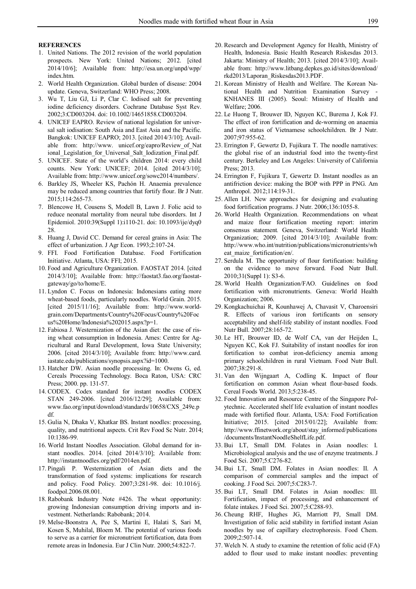#### **REFERENCES**

- 1. United Nations. The 2012 revision of the world population prospects. New York: United Nations; 2012. [cited 2014/10/6]; Available from: http://esa.un.org/unpd/wpp/ index.htm.
- 2. World Health Organization. Global burden of disease: 2004 update. Geneva, Switzerland: WHO Press; 2008.
- 3. Wu T, Liu GJ, Li P, Clar C. Iodised salt for preventing iodine deficiency disorders. Cochrane Database Syst Rev. 2002;3:CD003204. doi: 10.1002/14651858.CD003204.
- 4. UNICEF EAPRO. Review of national legislation for universal salt iodisation: South Asia and East Asia and the Pacific. Bangkok: UNICEF EAPRO; 2013. [cited 2014/3/10]; Available from: http://www. unicef.org/eapro/Review\_of\_Nat ional\_Legislation\_for\_Universal\_Salt\_Iodization\_Final.pdf.
- 5. UNICEF. State of the world's children 2014: every child counts. New York: UNICEF; 2014. [cited 2014/3/10]; Available from: http://www.unicef.org/sowc2014/numbers/.
- 6. Barkley JS, Wheeler KS, Pachón H. Anaemia prevalence may be reduced among countries that fortify flour. Br J Nutr. 2015;114:265-73.
- 7. Blencowe H, Cousens S, Modell B, Lawn J. Folic acid to reduce neonatal mortality from neural tube disorders. Int J Epidemiol. 2010:39(Suppl 1):i110-21. doi: 10.1093/ije/dyq0 28.
- 8. Huang J, David CC. Demand for cereal grains in Asia: The effect of urbanization. J Agr Econ. 1993;2:107-24.
- 9. FFI. Food Fortification Database. Food Fortification Initiative. Atlanta, USA: FFI; 2015.
- 10. Food and Agriculture Organization. FAOSTAT 2014. [cited 2014/3/10]; Available from: http://faostat3.fao.org/faostatgateway/go/to/home/E.
- 11. Lyndon C. Focus on Indonesia: Indonesians eating more wheat-based foods, particularly noodles. World Grain. 2015. [cited 2015/11/16]; Available from: http://www.worldgrain.com/Departments/Country%20Focus/Country%20Foc us%20Home/Indonesia%202015.aspx?p=1.
- 12. Fabiosa J. Westernization of the Asian diet: the case of rising wheat consumption in Indonesia. Ames: Centre for Agricultural and Rural Development, Iowa State University; 2006. [cited 2014/3/10]; Available from: http://www.card. iastate.edu/publications/synopsis.aspx?id=1000.
- 13. Hatcher DW. Asian noodle processing. In: Owens G, ed. Cereals Processing Technology. Boca Raton, USA: CRC Press; 2000. pp. 131-57.
- 14. CODEX. Codex standard for instant noodles CODEX STAN 249-2006. [cited 2016/12/29]; Available from: www.fao.org/input/download/standards/10658/CXS\_249e.p df.
- 15. Gulia N, Dhaka V, Khatkar BS. Instant noodles: processing, quality, and nutritional aspects. Crit Rev Food Sc Nutr. 2014; 10:1386-99.
- 16. World Instant Noodles Association. Global demand for instant noodles. 2014. [cited 2014/3/10]; Available from: http://instantnoodles.org/pdf/2014en.pdf.
- 17. Pingali P. Westernization of Asian diets and the transformation of food systems: implications for research and policy. Food Policy. 2007;3:281-98. doi: 10.1016/j. foodpol.2006.08.001.
- 18. Rabobank Industry Note #426. The wheat opportunity: growing Indonesian consumption driving imports and investment. Netherlands: Rabobank; 2014.
- 19. Melse-Boonstra A, Pee S, Martini E, Halati S, Sari M, Kosen S, Muhilal, Bloem M. The potential of various foods to serve as a carrier for micronutrient fortification, data from remote areas in Indonesia. Eur J Clin Nutr. 2000;54:822-7.
- 20. Research and Development Agency for Health, Ministry of Health, Indonesia. Basic Health Research Riskesdas 2013. Jakarta: Ministry of Health; 2013. [cited 2014/3/10]; Available from: http://www.litbang.depkes.go.id/sites/download/ rkd2013/Laporan\_Riskesdas2013.PDF.
- 21. Korean Ministry of Health and Welfare. The Korean National Health and Nutrition Examination Survey - KNHANES III (2005). Seoul: Ministry of Health and Welfare; 2006.
- 22. Le Huong T, Brouwer ID, Nguyen KC, Burema J, Kok FJ. The effect of iron fortification and de-worming on anaemia and iron status of Vietnamese schoolchildren. Br J Nutr. 2007;97:955-62.
- 23. Errington F, Gewertz D, Fujikura T. The noodle narratives: the global rise of an industrial food into the twenty-first century. Berkeley and Los Angeles: University of California Press; 2013.
- 24. Errington F, Fujikura T, Gewertz D. Instant noodles as an antifriction device: making the BOP with PPP in PNG. Am Anthropol. 2012;114:19-31.
- 25. Allen LH. New approaches for designing and evaluating food fortification programs. J Nutr. 2006;136:1055-8.
- 26. World Health Organization. Recommendations on wheat and maize flour fortification meeting report: interim consensus statement*.* Geneva, Switzerland: World Health Organization; 2009. [cited 2014/3/10]; Available from: http://www.who.int/nutrition/publications/micronutrients/wh eat maize fortification/en/.
- 27. Serdula M. The opportunity of flour fortification: building on the evidence to move forward. Food Nutr Bull. 2010;31(Suppl 1): S3-6.
- 28. World Health Organization/FAO. Guidelines on food fortification with micronutrients. Geneva: World Health Organization; 2006.
- 29. Kongkachuichai R, Kounhawej A, Chavasit V, Charoensiri R. Effects of various iron fortificants on sensory acceptability and shelf-life stability of instant noodles. Food Nutr Bull. 2007;28:165-72.
- 30. Le HT, Brouwer ID, de Wolf CA, van der Heijden L, Nguyen KC, Kok FJ. Suitability of instant noodles for iron fortification to combat iron-deficiency anemia among primary schoolchildren in rural Vietnam. Food Nutr Bull. 2007;38:291-8.
- 31. Van den Wijngaart A, Codling K. Impact of flour fortification on common Asian wheat flour-based foods. Cereal Foods World. 2013;5:238-45.
- 32. Food Innovation and Resource Centre of the Singapore Polytechnic. Accelerated shelf life evaluation of instant noodles made with fortified flour. Atlanta, USA: Food Fortification Initiative; 2015. [cited 2015/01/22]; Available from: http://www.ffinetwork.org/about/stay\_informed/publications /documents/InstantNoodleShelfLife.pdf.
- 33. Bui LT, Small DM. Folates in Asian noodles: I. Microbiological analysis and the use of enzyme treatments. J Food Sci. 2007;5:C276-82.
- 34. Bui LT, Small DM. Folates in Asian noodles: II. A comparison of commercial samples and the impact of cooking. J Food Sci. 2007;5:C283-7.
- 35. Bui LT, Small DM. Folates in Asian noodles: III. Fortification, impact of processing, and enhancement of folate intakes. J Food Sci. 2007;5:C288-93.
- 36. Cheung RHF, Hughes JG, Marriott PJ, Small DM. Investigation of folic acid stability in fortified instant Asian noodles by use of capillary electrophoresis. Food Chem. 2009;2:507-14.
- 37. Welch N. A study to examine the retention of folic acid (FA) added to flour used to make instant noodles: preventing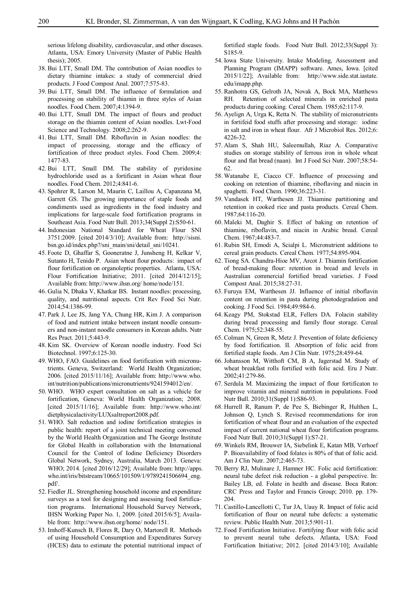serious lifelong disability, cardiovascular, and other diseases. Atlanta, USA: Emory University (Master of Public Health thesis):  $2005$ .

- 38. Bui LTT, Small DM. The contribution of Asian noodles to dietary thiamine intakes: a study of commercial dried products. J Food Compost Anal. 2007;7:575-83.
- 39. Bui LTT, Small DM. The influence of formulation and processing on stability of thiamin in three styles of Asian noodles. Food Chem. 2007;4:1394-9.
- 40. Bui LTT, Small DM. The impact of flours and product storage on the thiamin content of Asian noodles. Lwt-Food Science and Technology. 2008;2:262-9.
- 41. Bui LTT, Small DM. Riboflavin in Asian noodles: the impact of processing, storage and the efficacy of fortification of three product styles. Food Chem. 2009;4: 1477-83.
- 42. Bui LTT, Small DM. The stability of pyridoxine hydrochloride used as a fortificant in Asian wheat flour noodles. Food Chem. 2012;4:841-6.
- 43. Spohrer R, Larson M, Maurin C, Laillou A, Capanzana M, Garrett GS. The growing importance of staple foods and condiments used as ingredients in the food industry and implications for large-scale food fortification programs in Southeast Asia. Food Nutr Bull. 2013;34(Suppl 2):S50-61.
- 44. Indonesian National Standard for Wheat Flour SNI 3751:2009. [cited 2014/3/10]; Available from: http://sisni. bsn.go.id/index.php?/sni\_main/sni/detail\_sni/10241.
- 45. Foote D, Ghaffar S, Gooneratne J, Junsheng H, Kelkar V, Sutanto H, Tenido P. Asian wheat flour products: impact of flour fortification on organoleptic properties. Atlanta, USA: Flour Fortification Initiative; 2011. [cited 2014/12/15]; Available from: http://www.ihsn.org/ home/node/151.
- 46. Gulia N, Dhaka V, Khatkar BS. Instant noodles: processing, quality, and nutritional aspects. Crit Rev Food Sci Nutr. 2014;54:1386-99.
- 47. Park J, Lee JS, Jang YA, Chung HR, Kim J. A comparison of food and nutrient intake between instant noodle consumers and non-instant noodle consumers in Korean adults. Nutr Res Pract. 2011;5:443-9.
- 48. Kim SK. Overview of Korean noodle industry. Food Sci Biotechnol. 1997;6:125-30.
- 49. WHO, FAO. Guidelines on food fortification with micronutrients. Geneva, Switzerland: World Health Organization; 2006. [cited 2015/11/16]; Available from: http://www.who. int/nutrition/publications/micronutrients/9241594012/en/.
- 50. WHO. WHO expert consultation on salt as a vehicle for fortification, Geneva: World Health Organization; 2008. [cited 2015/11/16]; Available from: http://www.who.int/ dietphysicalactivity/LUXsaltreport2008.pdf.
- 51. WHO. Salt reduction and iodine fortification strategies in public health: report of a joint technical meeting convened by the World Health Organization and The George Institute for Global Health in collaboration with the International Council for the Control of Iodine Deficiency Disorders Global Network, Sydney, Australia, March 2013. Geneva: WHO; 2014. [cited 2016/12/29]; Available from: http://apps. who.int/iris/bitstream/10665/101509/1/9789241506694 eng. pdf/.
- 52. Fiedler JL. Strengthening household income and expenditure surveys as a tool for designing and assessing food fortification programs. International Household Survey Network, IHSN Working Paper No. 1, 2009. [cited 2015/6/5]; Available from: http://www.ihsn.org/home/ node/151.
- 53. Imhoff-Kunsch B, Flores R, Dary O, Martorell R. Methods of using Household Consumption and Expenditures Survey (HCES) data to estimate the potential nutritional impact of

fortified staple foods. Food Nutr Bull. 2012;33(Suppl 3): S185-9.

- 54. Iowa State University. Intake Modeling, Assessment and Planning Program (IMAPP) software. Ames, Iowa. [cited 2015/1/22]; Available from: http://www.side.stat.iastate. edu/imapp.php.
- 55. Ranhotra GS, Gelroth JA, Novak A, Bock MA, Matthews RH. Retention of selected minerals in enriched pasta products during cooking. Cereal Chem. 1985;62:117-9.
- 56. Ayelign A, Urga K, Retta N. The stability of micronutrients in fortifeid food stuffs after processing and storage: iodine in salt and iron in wheat flour. Afr J Microbiol Res. 2012;6: 4226-32.
- 57. Alam S, Shah HU, Saleemullah, Riaz A. Comparative studies on storage stability of ferrous iron in whole wheat flour and flat bread (naan). Int J Food Sci Nutr. 2007;58:54- 62.
- 58. Watanabe E, Ciacco CF. Influence of processing and cooking on retention of thiamine, riboflaving and niacin in spaghetti. Food Chem. 1990;36:223-31.
- 59. Vandasek HT, Warthesen JJ. Thiamine partitioning and retention in cooked rice and pasta products. Cereal Chem. 1987;64:116-20.
- 60. Maleki M, Daghir S. Effect of baking on retention of thiamine, riboflavin, and niacin in Arabic bread. Cereal Chem. 1967;44:483-7.
- 61. Rubin SH, Emodi A, Scialpi L. Micronutrient additions to cereal grain products. Cereal Chem. 1977;54:895-904.
- 62. Tiong SA. Chandra-Hioe MV, Arcot J. Thiamin fortification of bread-making flour: retention in bread and levels in Australian commercial fortified bread varieties. J Food Compost Anal. 2015;38:27-31.
- 63. Furuya EM, Warthesen JJ. Influence of initial riboflavin content on retention in pasta during photodegradation and cooking. J Food Sci. 1984;49:984-6.
- 64. Keagy PM, Stokstad ELR, Fellers DA. Folacin stability during bread processing and family flour storage. Cereal Chem. 1975;52:348-55.
- 65. Colman N, Green R, Metz J. Prevention of folate deficiency by food fortification. II. Absorption of folic acid from fortified staple foods. Am J Clin Nutr. 1975;28:459-64.
- 66. Johansson M, Witthoft CM, B A, Jagerstad M. Study of wheat breakfast rolls fortified with folic acid. Eru J Nutr. 2002;41:279-86.
- 67. Serdula M. Maximizing the impact of flour fortificaton to improve vitamin and mineral nutrition in populations. Food Nutr Bull. 2010;31(Suppl 1):S86-93.
- 68. Hurrell R, Ranum P, de Pee S, Biebinger R, Hulthen L, Johnson Q, Lynch S. Revised recommendations for iron fortification of wheat flour and an evaluation of the expected impact of current national wheat flour fortification programs. Food Nutr Bull. 2010;31(Suppl 1):S7-21.
- 69. Winkels RM, Brouwer IA, Siebelink E, Katan MB, Verhoef P. Bioavailability of food folates is 80% of that of folic acid. Am J Clin Nutr. 2007;2:465-73.
- 70. Berry RJ, Mulinare J, Hamner HC. Folic acid fortification: neural tube defect risk reduction - a global perspective. In: Bailey LB, ed. Folate in health and disease. Boca Raton: CRC Press and Taylor and Francis Group; 2010. pp. 179- 204.
- 71. Castillo-Lancellotti C, Tur JA, Uauy R. Impact of folic acid fortification of flour on neural tube defects: a systematic review. Public Health Nutr. 2013;5:901-11.
- 72. Food Fortification Initiative. Fortifying flour with folic acid to prevent neural tube defects. Atlanta, USA: Food Fortification Initiative; 2012. [cited 2014/3/10]; Available